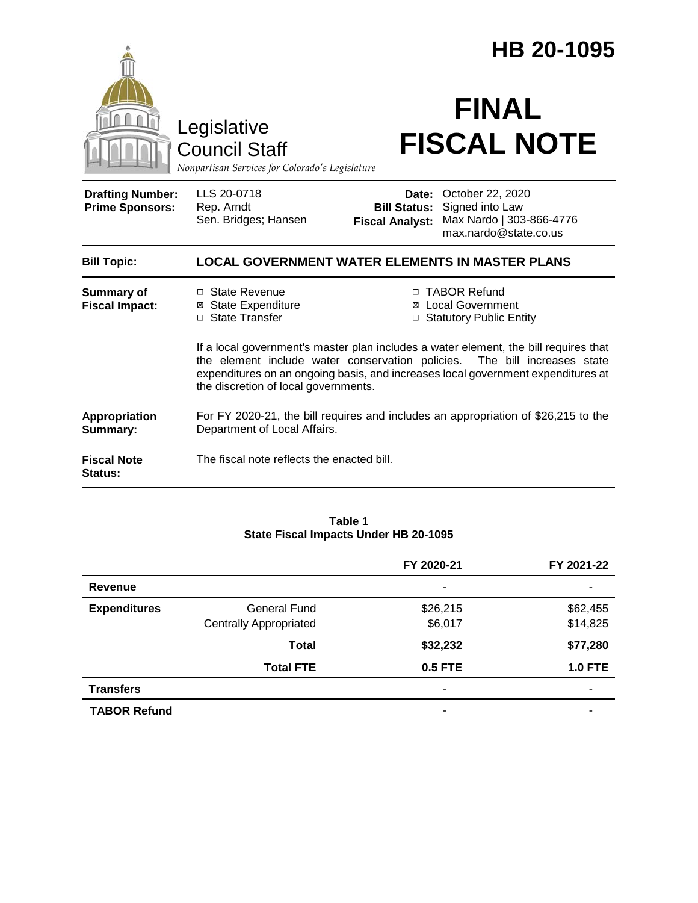|                                                   |                                                                                                                                                                                                                                                                                               | HB 20-1095                                    |                                                                                                       |  |  |
|---------------------------------------------------|-----------------------------------------------------------------------------------------------------------------------------------------------------------------------------------------------------------------------------------------------------------------------------------------------|-----------------------------------------------|-------------------------------------------------------------------------------------------------------|--|--|
|                                                   | Legislative<br><b>Council Staff</b><br>Nonpartisan Services for Colorado's Legislature                                                                                                                                                                                                        |                                               | <b>FINAL</b><br><b>FISCAL NOTE</b>                                                                    |  |  |
| <b>Drafting Number:</b><br><b>Prime Sponsors:</b> | LLS 20-0718<br>Rep. Arndt<br>Sen. Bridges; Hansen                                                                                                                                                                                                                                             | <b>Bill Status:</b><br><b>Fiscal Analyst:</b> | <b>Date: October 22, 2020</b><br>Signed into Law<br>Max Nardo   303-866-4776<br>max.nardo@state.co.us |  |  |
| <b>Bill Topic:</b>                                | <b>LOCAL GOVERNMENT WATER ELEMENTS IN MASTER PLANS</b>                                                                                                                                                                                                                                        |                                               |                                                                                                       |  |  |
| <b>Summary of</b><br><b>Fiscal Impact:</b>        | □ State Revenue<br>⊠ State Expenditure<br>□ State Transfer                                                                                                                                                                                                                                    | ⊠<br>□                                        | □ TABOR Refund<br><b>Local Government</b><br><b>Statutory Public Entity</b>                           |  |  |
|                                                   | If a local government's master plan includes a water element, the bill requires that<br>the element include water conservation policies. The bill increases state<br>expenditures on an ongoing basis, and increases local government expenditures at<br>the discretion of local governments. |                                               |                                                                                                       |  |  |
| Appropriation<br>Summary:                         | For FY 2020-21, the bill requires and includes an appropriation of \$26,215 to the<br>Department of Local Affairs.                                                                                                                                                                            |                                               |                                                                                                       |  |  |
| <b>Fiscal Note</b><br>Status:                     | The fiscal note reflects the enacted bill.                                                                                                                                                                                                                                                    |                                               |                                                                                                       |  |  |

### **Table 1 State Fiscal Impacts Under HB 20-1095**

|                     |                               | FY 2020-21     | FY 2021-22     |
|---------------------|-------------------------------|----------------|----------------|
| <b>Revenue</b>      |                               | ٠              |                |
| <b>Expenditures</b> | General Fund                  | \$26,215       | \$62,455       |
|                     | <b>Centrally Appropriated</b> | \$6,017        | \$14,825       |
|                     | <b>Total</b>                  | \$32,232       | \$77,280       |
|                     | <b>Total FTE</b>              | <b>0.5 FTE</b> | <b>1.0 FTE</b> |
| <b>Transfers</b>    |                               | ٠              |                |
| <b>TABOR Refund</b> |                               | -              |                |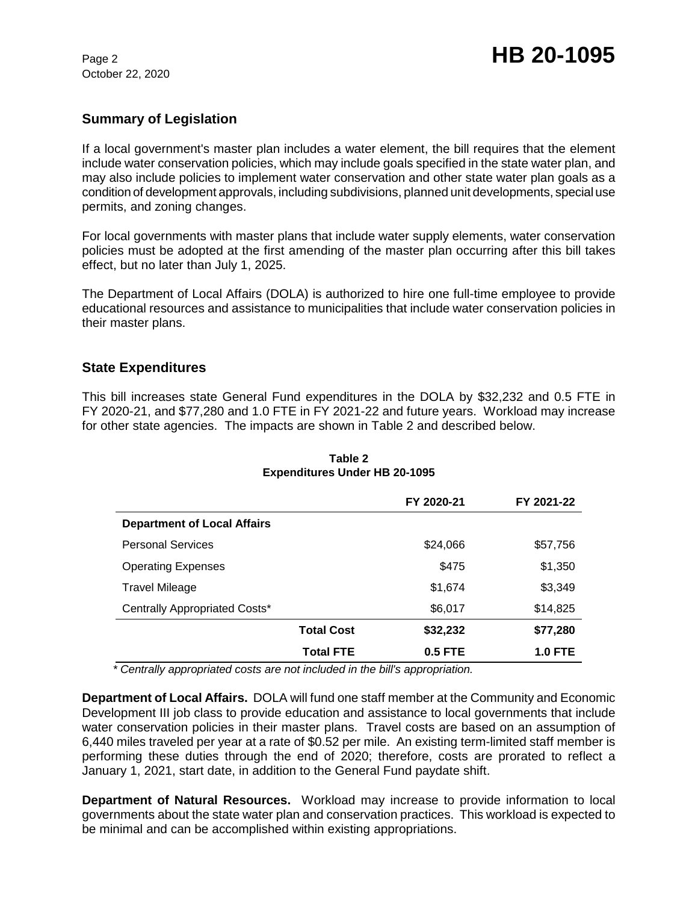October 22, 2020

# **Summary of Legislation**

If a local government's master plan includes a water element, the bill requires that the element include water conservation policies, which may include goals specified in the state water plan, and may also include policies to implement water conservation and other state water plan goals as a condition of development approvals, including subdivisions, planned unit developments, special use permits, and zoning changes.

For local governments with master plans that include water supply elements, water conservation policies must be adopted at the first amending of the master plan occurring after this bill takes effect, but no later than July 1, 2025.

The Department of Local Affairs (DOLA) is authorized to hire one full-time employee to provide educational resources and assistance to municipalities that include water conservation policies in their master plans.

## **State Expenditures**

This bill increases state General Fund expenditures in the DOLA by \$32,232 and 0.5 FTE in FY 2020-21, and \$77,280 and 1.0 FTE in FY 2021-22 and future years. Workload may increase for other state agencies. The impacts are shown in Table 2 and described below.

|                                    |                   | FY 2020-21 | FY 2021-22     |
|------------------------------------|-------------------|------------|----------------|
| <b>Department of Local Affairs</b> |                   |            |                |
| <b>Personal Services</b>           |                   | \$24,066   | \$57,756       |
| <b>Operating Expenses</b>          |                   | \$475      | \$1,350        |
| Travel Mileage                     |                   | \$1,674    | \$3,349        |
| Centrally Appropriated Costs*      |                   | \$6,017    | \$14,825       |
|                                    | <b>Total Cost</b> | \$32,232   | \$77,280       |
|                                    | <b>Total FTE</b>  | 0.5 FTE    | <b>1.0 FTE</b> |

**Table 2 Expenditures Under HB 20-1095**

 *\* Centrally appropriated costs are not included in the bill's appropriation.*

**Department of Local Affairs.** DOLA will fund one staff member at the Community and Economic Development III job class to provide education and assistance to local governments that include water conservation policies in their master plans. Travel costs are based on an assumption of 6,440 miles traveled per year at a rate of \$0.52 per mile. An existing term-limited staff member is performing these duties through the end of 2020; therefore, costs are prorated to reflect a January 1, 2021, start date, in addition to the General Fund paydate shift.

**Department of Natural Resources.** Workload may increase to provide information to local governments about the state water plan and conservation practices. This workload is expected to be minimal and can be accomplished within existing appropriations.